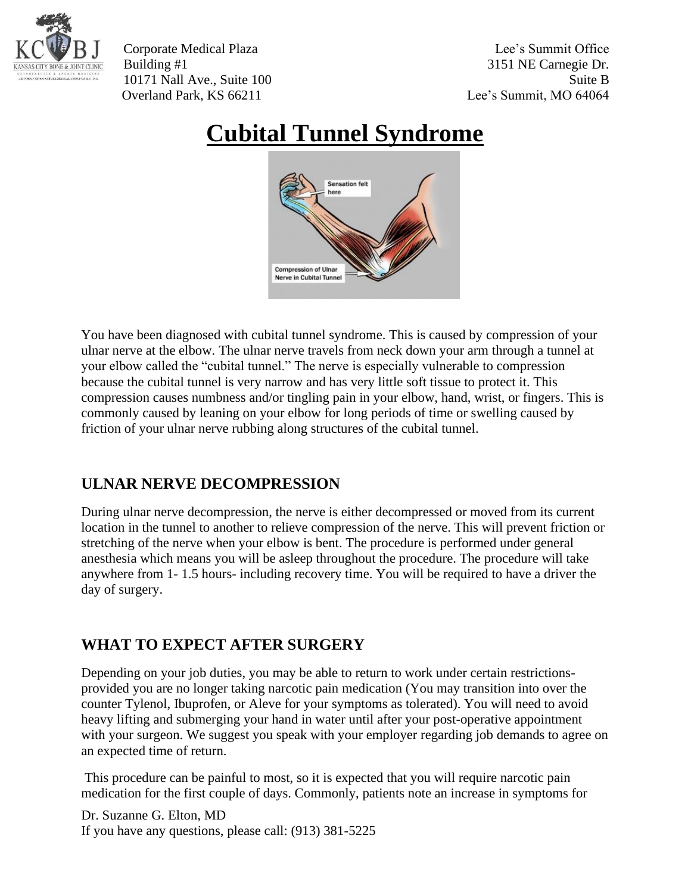

Corporate Medical Plaza Lee's Summit Office Building #1 3151 NE Carnegie Dr. 10171 Nall Ave., Suite 100 Suite B Overland Park, KS 66211 Lee's Summit, MO 64064

## **Cubital Tunnel Syndrome**



You have been diagnosed with cubital tunnel syndrome. This is caused by compression of your ulnar nerve at the elbow. The ulnar nerve travels from neck down your arm through a tunnel at your elbow called the "cubital tunnel." The nerve is especially vulnerable to compression because the cubital tunnel is very narrow and has very little soft tissue to protect it. This compression causes numbness and/or tingling pain in your elbow, hand, wrist, or fingers. This is commonly caused by leaning on your elbow for long periods of time or swelling caused by friction of your ulnar nerve rubbing along structures of the cubital tunnel.

## **ULNAR NERVE DECOMPRESSION**

During ulnar nerve decompression, the nerve is either decompressed or moved from its current location in the tunnel to another to relieve compression of the nerve. This will prevent friction or stretching of the nerve when your elbow is bent. The procedure is performed under general anesthesia which means you will be asleep throughout the procedure. The procedure will take anywhere from 1- 1.5 hours- including recovery time. You will be required to have a driver the day of surgery.

## **WHAT TO EXPECT AFTER SURGERY**

Depending on your job duties, you may be able to return to work under certain restrictionsprovided you are no longer taking narcotic pain medication (You may transition into over the counter Tylenol, Ibuprofen, or Aleve for your symptoms as tolerated). You will need to avoid heavy lifting and submerging your hand in water until after your post-operative appointment with your surgeon. We suggest you speak with your employer regarding job demands to agree on an expected time of return.

This procedure can be painful to most, so it is expected that you will require narcotic pain medication for the first couple of days. Commonly, patients note an increase in symptoms for

Dr. Suzanne G. Elton, MD If you have any questions, please call: (913) 381-5225